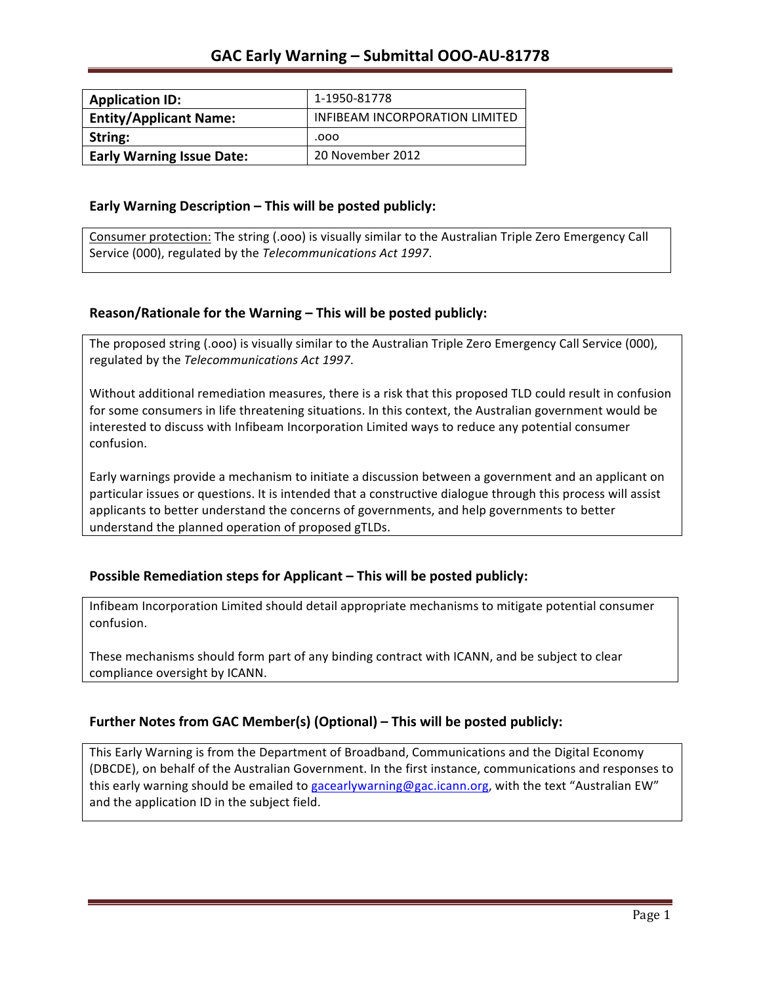| <b>Application ID:</b>           | 1-1950-81778                   |
|----------------------------------|--------------------------------|
| <b>Entity/Applicant Name:</b>    | INFIBEAM INCORPORATION LIMITED |
| String:                          | .000                           |
| <b>Early Warning Issue Date:</b> | 20 November 2012               |

### **Early Warning Description – This will be posted publicly:**

Consumer protection: The string (.ooo) is visually similar to the Australian Triple Zero Emergency Call Service (000), regulated by the *Telecommunications Act 1997*.

### **Reason/Rationale for the Warning – This will be posted publicly:**

The proposed string (.000) is visually similar to the Australian Triple Zero Emergency Call Service (000), regulated by the *Telecommunications Act 1997*.

Without additional remediation measures, there is a risk that this proposed TLD could result in confusion for some consumers in life threatening situations. In this context, the Australian government would be interested to discuss with Infibeam Incorporation Limited ways to reduce any potential consumer confusion. 

Early warnings provide a mechanism to initiate a discussion between a government and an applicant on particular issues or questions. It is intended that a constructive dialogue through this process will assist applicants to better understand the concerns of governments, and help governments to better understand the planned operation of proposed gTLDs.

### **Possible Remediation steps for Applicant – This will be posted publicly:**

Infibeam Incorporation Limited should detail appropriate mechanisms to mitigate potential consumer confusion. 

These mechanisms should form part of any binding contract with ICANN, and be subject to clear compliance oversight by ICANN.

### **Further Notes from GAC Member(s) (Optional)** – This will be posted publicly:

This Early Warning is from the Department of Broadband, Communications and the Digital Economy (DBCDE), on behalf of the Australian Government. In the first instance, communications and responses to this early warning should be emailed to gacearlywarning@gac.icann.org, with the text "Australian EW" and the application ID in the subject field.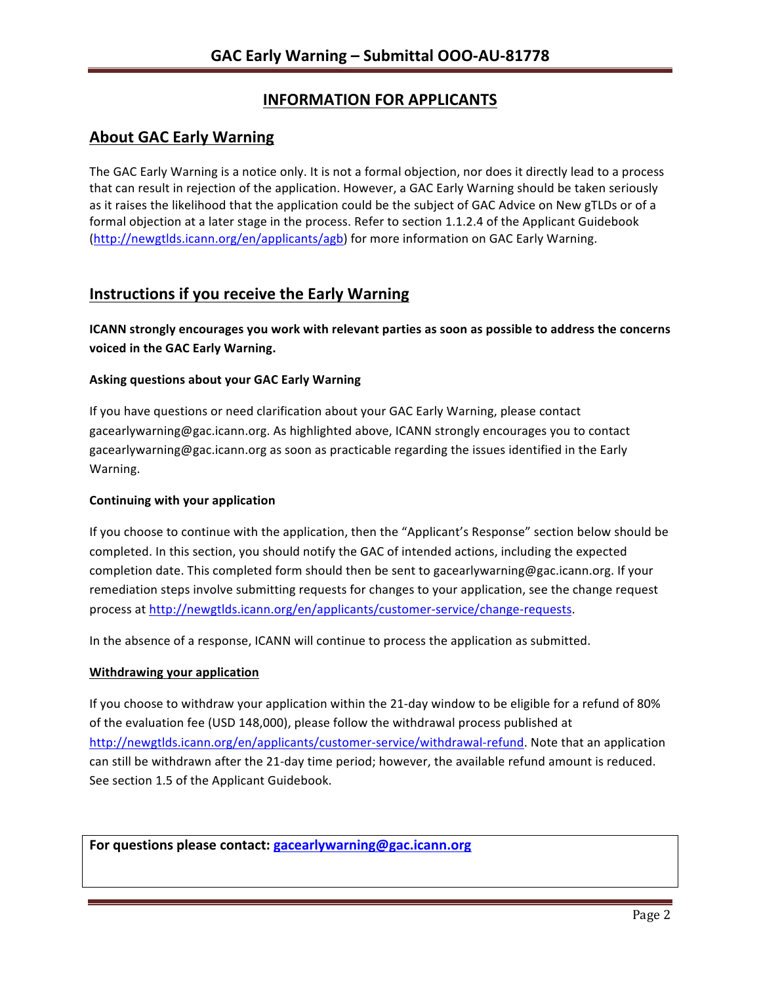# **INFORMATION FOR APPLICANTS**

## **About GAC Early Warning**

The GAC Early Warning is a notice only. It is not a formal objection, nor does it directly lead to a process that can result in rejection of the application. However, a GAC Early Warning should be taken seriously as it raises the likelihood that the application could be the subject of GAC Advice on New gTLDs or of a formal objection at a later stage in the process. Refer to section 1.1.2.4 of the Applicant Guidebook (http://newgtlds.icann.org/en/applicants/agb) for more information on GAC Early Warning.

## **Instructions if you receive the Early Warning**

**ICANN** strongly encourages you work with relevant parties as soon as possible to address the concerns **voiced in the GAC Early Warning.** 

### **Asking questions about your GAC Early Warning**

If you have questions or need clarification about your GAC Early Warning, please contact gacearlywarning@gac.icann.org. As highlighted above, ICANN strongly encourages you to contact gacearlywarning@gac.icann.org as soon as practicable regarding the issues identified in the Early Warning. 

### **Continuing with your application**

If you choose to continue with the application, then the "Applicant's Response" section below should be completed. In this section, you should notify the GAC of intended actions, including the expected completion date. This completed form should then be sent to gacearlywarning@gac.icann.org. If your remediation steps involve submitting requests for changes to your application, see the change request process at http://newgtlds.icann.org/en/applicants/customer-service/change-requests.

In the absence of a response, ICANN will continue to process the application as submitted.

### **Withdrawing your application**

If you choose to withdraw your application within the 21-day window to be eligible for a refund of 80% of the evaluation fee (USD 148,000), please follow the withdrawal process published at http://newgtlds.icann.org/en/applicants/customer-service/withdrawal-refund. Note that an application can still be withdrawn after the 21-day time period; however, the available refund amount is reduced. See section 1.5 of the Applicant Guidebook.

For questions please contact: gacearlywarning@gac.icann.org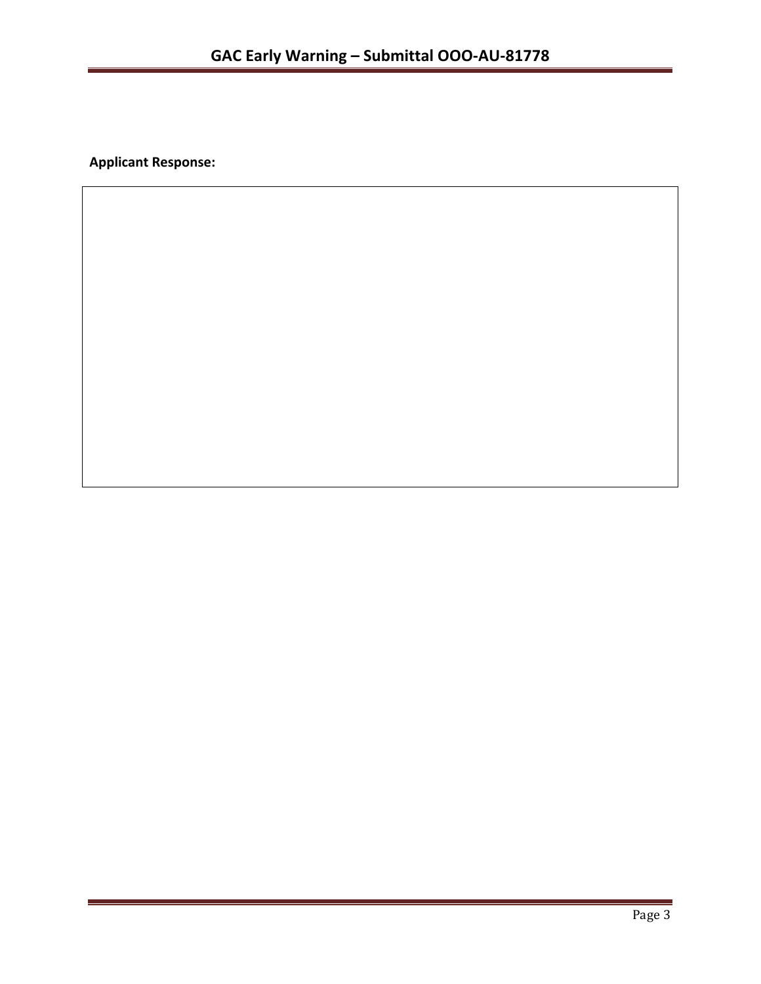**Applicant Response:**